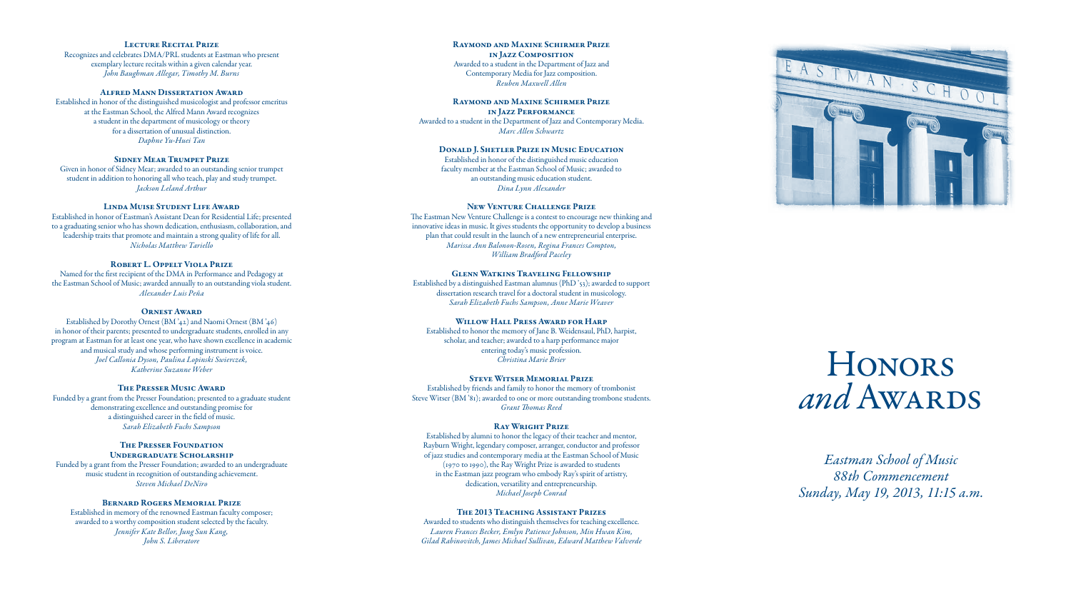*Eastman School of Music 88th Commencement Sunday, May 19, 2013, 11:15 a.m.*

# Lecture Recital Prize

Recognizes and celebrates DMA/PRL students at Eastman who present exemplary lecture recitals within a given calendar year. *John Baughman Allegar, Timothy M. Burns*

# Alfred Mann Dissertation Award

Established in honor of the distinguished musicologist and professor emeritus at the Eastman School, the Alfred Mann Award recognizes a student in the department of musicology or theory for a dissertation of unusual distinction. *Daphne Yu-Huei Tan*

# Sidney Mear Trumpet Prize

Given in honor of Sidney Mear; awarded to an outstanding senior trumpet student in addition to honoring all who teach, play and study trumpet. *Jackson Leland Arthur*

# Linda Muise Student Life Award

Established in honor of Eastman's Assistant Dean for Residential Life; presented to a graduating senior who has shown dedication, enthusiasm, collaboration, and leadership traits that promote and maintain a strong quality of life for all. *Nicholas Matthew Tariello*

# ROBERT L. OPPELT VIOLA PRIZE

#### The Presser Foundation UNDERGRADUATE SCHOLARSHIP

Named for the first recipient of the DMA in Performance and Pedagogy at the Eastman School of Music; awarded annually to an outstanding viola student. *Alexander Luis Peña*

#### Ornest Award

Established by Dorothy Ornest (BM '42) and Naomi Ornest (BM '46) in honor of their parents; presented to undergraduate students, enrolled in any program at Eastman for at least one year, who have shown excellence in academic and musical study and whose performing instrument is voice. *Joel Callonia Dyson, Paulina Lopinski Swierczek, Katherine Suzanne Weber*

# The Presser Music Award

Funded by a grant from the Presser Foundation; presented to a graduate student demonstrating excellence and outstanding promise for a distinguished career in the field of music. *Sarah Elizabeth Fuchs Sampson*

Funded by a grant from the Presser Foundation; awarded to an undergraduate music student in recognition of outstanding achievement. *Steven Michael DeNiro*

#### Bernard Rogers Memorial Prize

Established in memory of the renowned Eastman faculty composer; awarded to a worthy composition student selected by the faculty. *Jennifer Kate Bellor, Jung Sun Kang, John S. Liberatore*

# Raymond and Maxine Schirmer Prize in Jazz Composition Awarded to a student in the Department of Jazz and Contemporary Media for Jazz composition. *Reuben Maxwell Allen*

#### Raymond and Maxine Schirmer Prize in Jazz Performance

Awarded to a student in the Department of Jazz and Contemporary Media. *Marc Allen Schwartz*

# Donald J. Shetler Prize in Music Education

Established in honor of the distinguished music education faculty member at the Eastman School of Music; awarded to an outstanding music education student. *Dina Lynn Alexander*

#### New Venture Challenge Prize

The Eastman New Venture Challenge is a contest to encourage new thinking and innovative ideas in music. It gives students the opportunity to develop a business plan that could result in the launch of a new entrepreneurial enterprise. *Marissa Ann Balonon-Rosen, Regina Frances Compton, William Bradford Paceley*

# Glenn Watkins Traveling Fellowship

Established by a distinguished Eastman alumnus (PhD '53); awarded to support dissertation research travel for a doctoral student in musicology. *Sarah Elizabeth Fuchs Sampson, Anne Marie Weaver*

#### WILLOW HALL PRESS AWARD FOR HARP

Established to honor the memory of Jane B. Weidensaul, PhD, harpist, scholar, and teacher; awarded to a harp performance major entering today's music profession. *Christina Marie Brier*

#### Steve Witser Memorial Prize

Established by friends and family to honor the memory of trombonist Steve Witser (BM '81); awarded to one or more outstanding trombone students. *Grant Thomas Reed*

#### Ray Wright Prize

Established by alumni to honor the legacy of their teacher and mentor, Rayburn Wright, legendary composer, arranger, conductor and professor of jazz studies and contemporary media at the Eastman School of Music (1970 to 1990), the Ray Wright Prize is awarded to students in the Eastman jazz program who embody Ray's spirit of artistry, dedication, versatility and entrepreneurship. *Michael Joseph Conrad*

# The 2013 Teaching Assistant Prizes

Awarded to students who distinguish themselves for teaching excellence. *Lauren Frances Becker, Emlyn Patience Johnson, Min Hwan Kim, Gilad Rabinovitch, James Michael Sullivan, Edward Matthew Valverde*



# **HONORS** and Awards